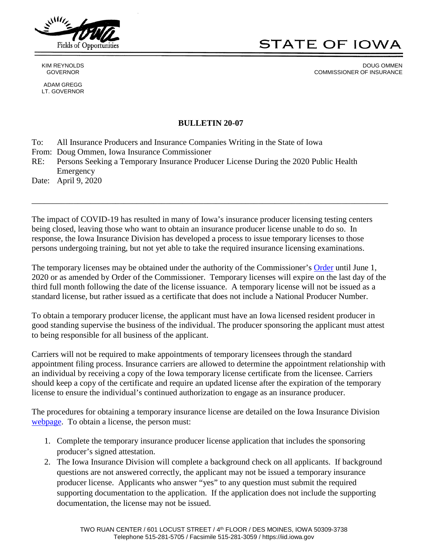

ADAM GREGG LT. GOVERNOR **STATE OF IOWA** 

KIM REYNOLDS DOUG OMMEN GOVERNOR GOVERNOR COMMISSIONER OF INSURANCE

## **BULLETIN 20-07**

To: All Insurance Producers and Insurance Companies Writing in the State of Iowa

From: Doug Ommen, Iowa Insurance Commissioner

RE: Persons Seeking a Temporary Insurance Producer License During the 2020 Public Health Emergency

Date: April 9, 2020

The impact of COVID-19 has resulted in many of Iowa's insurance producer licensing testing centers being closed, leaving those who want to obtain an insurance producer license unable to do so. In response, the Iowa Insurance Division has developed a process to issue temporary licenses to those persons undergoing training, but not yet able to take the required insurance licensing examinations.

\_\_\_\_\_\_\_\_\_\_\_\_\_\_\_\_\_\_\_\_\_\_\_\_\_\_\_\_\_\_\_\_\_\_\_\_\_\_\_\_\_\_\_\_\_\_\_\_\_\_\_\_\_\_\_\_\_\_\_\_\_\_\_\_\_\_\_\_\_\_\_\_\_\_\_\_\_\_\_\_\_\_\_\_\_

The temporary licenses may be obtained under the authority of the Commissioner's [Order](https://iid.iowa.gov/documents/enforcement-orders-and-actions/in-the-matter-of-individual-resident-insurance-producer) until June 1, 2020 or as amended by Order of the Commissioner. Temporary licenses will expire on the last day of the third full month following the date of the license issuance. A temporary license will not be issued as a standard license, but rather issued as a certificate that does not include a National Producer Number.

To obtain a temporary producer license, the applicant must have an Iowa licensed resident producer in good standing supervise the business of the individual. The producer sponsoring the applicant must attest to being responsible for all business of the applicant.

Carriers will not be required to make appointments of temporary licensees through the standard appointment filing process. Insurance carriers are allowed to determine the appointment relationship with an individual by receiving a copy of the Iowa temporary license certificate from the licensee. Carriers should keep a copy of the certificate and require an updated license after the expiration of the temporary license to ensure the individual's continued authorization to engage as an insurance producer.

The procedures for obtaining a temporary insurance license are detailed on the Iowa Insurance Division [webpage.](https://iid.iowa.gov/obtaining-a-new-license-or-authority) To obtain a license, the person must:

- 1. Complete the temporary insurance producer license application that includes the sponsoring producer's signed attestation.
- 2. The Iowa Insurance Division will complete a background check on all applicants. If background questions are not answered correctly, the applicant may not be issued a temporary insurance producer license. Applicants who answer "yes" to any question must submit the required supporting documentation to the application. If the application does not include the supporting documentation, the license may not be issued.